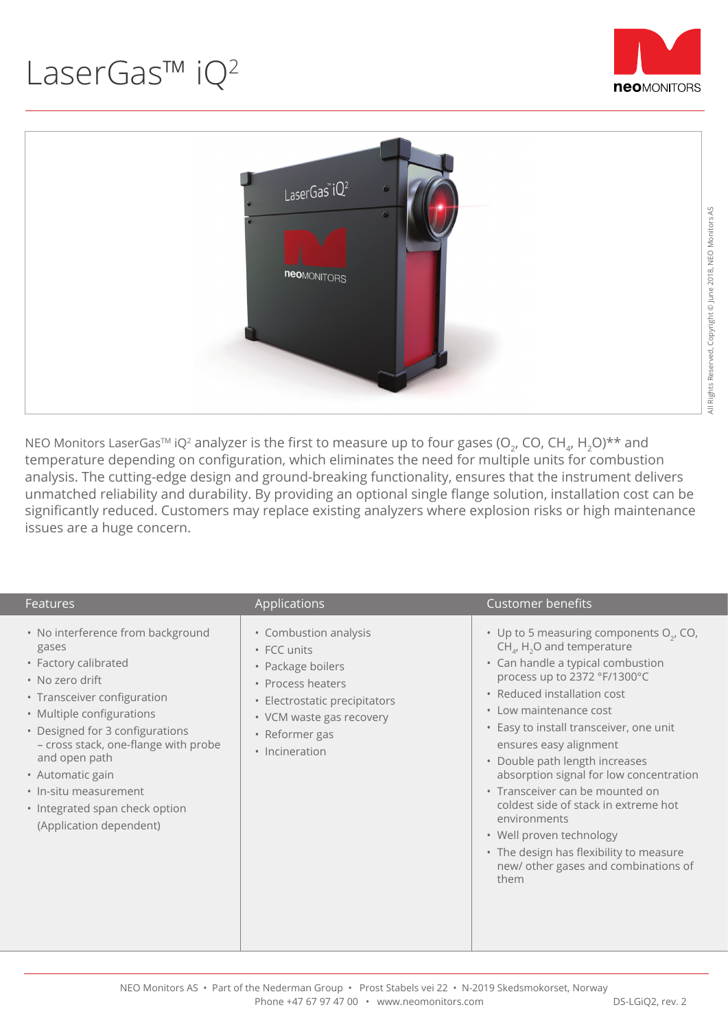



NEO Monitors LaserGas<sup>TM</sup> iQ<sup>2</sup> analyzer is the first to measure up to four gases (O<sub>2</sub>, CO, CH<sub>4</sub>, H<sub>2</sub>O)<sup>\*\*</sup> and temperature depending on configuration, which eliminates the need for multiple units for combustion analysis. The cutting-edge design and ground-breaking functionality, ensures that the instrument delivers unmatched reliability and durability. By providing an optional single flange solution, installation cost can be significantly reduced. Customers may replace existing analyzers where explosion risks or high maintenance issues are a huge concern.

| <b>Features</b>                                                                                                                                                                                                                                                                                                                                         | Applications                                                                                                                                                                    | <b>Customer benefits</b>                                                                                                                                                                                                                                                                                                                                                                                                                                                                                                                                                                             |
|---------------------------------------------------------------------------------------------------------------------------------------------------------------------------------------------------------------------------------------------------------------------------------------------------------------------------------------------------------|---------------------------------------------------------------------------------------------------------------------------------------------------------------------------------|------------------------------------------------------------------------------------------------------------------------------------------------------------------------------------------------------------------------------------------------------------------------------------------------------------------------------------------------------------------------------------------------------------------------------------------------------------------------------------------------------------------------------------------------------------------------------------------------------|
| • No interference from background<br>gases<br>• Factory calibrated<br>• No zero drift<br>• Transceiver configuration<br>• Multiple configurations<br>• Designed for 3 configurations<br>- cross stack, one-flange with probe<br>and open path<br>• Automatic gain<br>· In-situ measurement<br>• Integrated span check option<br>(Application dependent) | • Combustion analysis<br>• FCC units<br>• Package boilers<br>• Process heaters<br>· Electrostatic precipitators<br>• VCM waste gas recovery<br>• Reformer gas<br>• Incineration | • Up to 5 measuring components O <sub>2</sub> , CO,<br>$CH_{4}$ , H <sub>2</sub> O and temperature<br>• Can handle a typical combustion<br>process up to 2372 °F/1300°C<br>• Reduced installation cost<br>• Low maintenance cost<br>• Easy to install transceiver, one unit<br>ensures easy alignment<br>• Double path length increases<br>absorption signal for low concentration<br>• Transceiver can be mounted on<br>coldest side of stack in extreme hot<br>environments<br>• Well proven technology<br>• The design has flexibility to measure<br>new/ other gases and combinations of<br>them |